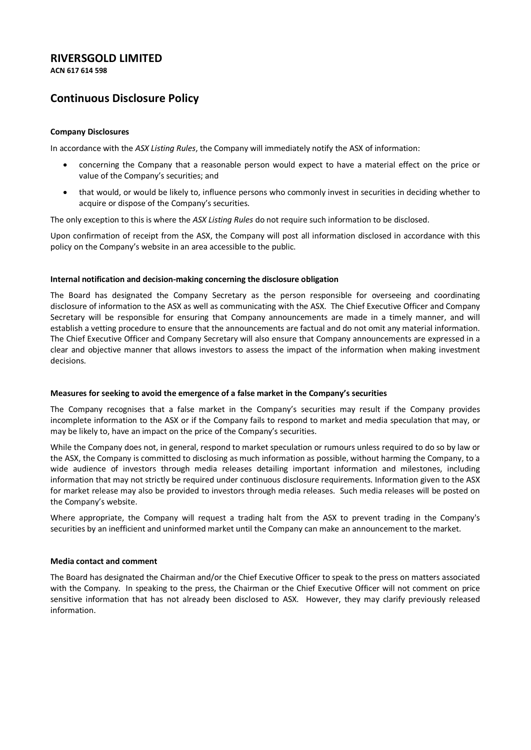# **RIVERSGOLD LIMITED**

**ACN 617 614 598**

# **Continuous Disclosure Policy**

### **Company Disclosures**

In accordance with the *ASX Listing Rules*, the Company will immediately notify the ASX of information:

- concerning the Company that a reasonable person would expect to have a material effect on the price or value of the Company's securities; and
- that would, or would be likely to, influence persons who commonly invest in securities in deciding whether to acquire or dispose of the Company's securities.

The only exception to this is where the *ASX Listing Rules* do not require such information to be disclosed.

Upon confirmation of receipt from the ASX, the Company will post all information disclosed in accordance with this policy on the Company's website in an area accessible to the public.

### **Internal notification and decision-making concerning the disclosure obligation**

The Board has designated the Company Secretary as the person responsible for overseeing and coordinating disclosure of information to the ASX as well as communicating with the ASX. The Chief Executive Officer and Company Secretary will be responsible for ensuring that Company announcements are made in a timely manner, and will establish a vetting procedure to ensure that the announcements are factual and do not omit any material information. The Chief Executive Officer and Company Secretary will also ensure that Company announcements are expressed in a clear and objective manner that allows investors to assess the impact of the information when making investment decisions.

#### **Measures for seeking to avoid the emergence of a false market in the Company's securities**

The Company recognises that a false market in the Company's securities may result if the Company provides incomplete information to the ASX or if the Company fails to respond to market and media speculation that may, or may be likely to, have an impact on the price of the Company's securities.

While the Company does not, in general, respond to market speculation or rumours unless required to do so by law or the ASX, the Company is committed to disclosing as much information as possible, without harming the Company, to a wide audience of investors through media releases detailing important information and milestones, including information that may not strictly be required under continuous disclosure requirements. Information given to the ASX for market release may also be provided to investors through media releases. Such media releases will be posted on the Company's website.

Where appropriate, the Company will request a trading halt from the ASX to prevent trading in the Company's securities by an inefficient and uninformed market until the Company can make an announcement to the market.

#### **Media contact and comment**

The Board has designated the Chairman and/or the Chief Executive Officer to speak to the press on matters associated with the Company. In speaking to the press, the Chairman or the Chief Executive Officer will not comment on price sensitive information that has not already been disclosed to ASX. However, they may clarify previously released information.